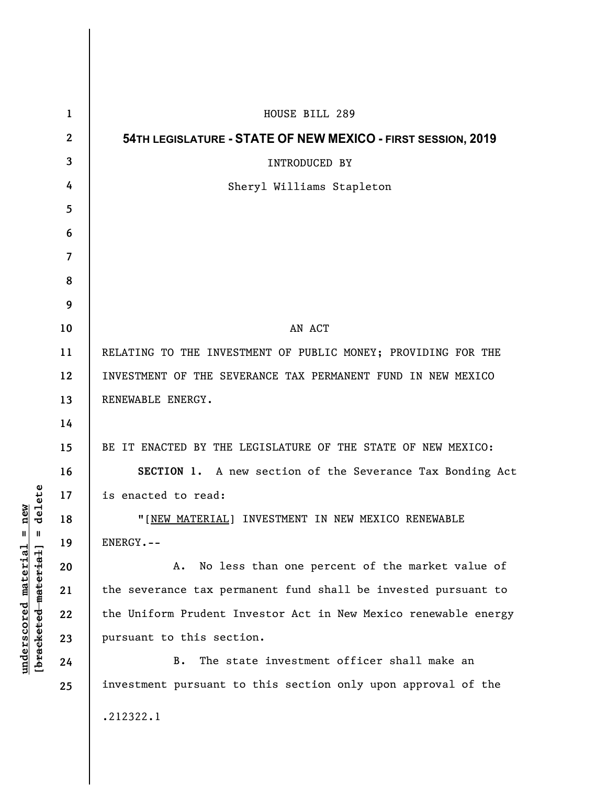|                                             | $\mathbf{1}$   | HOUSE BILL 289                                                  |
|---------------------------------------------|----------------|-----------------------------------------------------------------|
| lete<br>ω<br>ರ<br>Ш<br>[bracketed-material] | $\mathbf{2}$   | 54TH LEGISLATURE - STATE OF NEW MEXICO - FIRST SESSION, 2019    |
|                                             | 3              | INTRODUCED BY                                                   |
|                                             | 4              | Sheryl Williams Stapleton                                       |
|                                             | 5              |                                                                 |
|                                             | 6              |                                                                 |
|                                             | $\overline{7}$ |                                                                 |
|                                             | 8              |                                                                 |
|                                             | 9              |                                                                 |
|                                             | 10             | AN ACT                                                          |
|                                             | 11             | RELATING TO THE INVESTMENT OF PUBLIC MONEY; PROVIDING FOR THE   |
|                                             | 12             | INVESTMENT OF THE SEVERANCE TAX PERMANENT FUND IN NEW MEXICO    |
|                                             | 13             | RENEWABLE ENERGY.                                               |
|                                             | 14             |                                                                 |
|                                             | 15             | BE IT ENACTED BY THE LEGISLATURE OF THE STATE OF NEW MEXICO:    |
|                                             | 16             | SECTION 1. A new section of the Severance Tax Bonding Act       |
|                                             | 17             | is enacted to read:                                             |
|                                             | 18             | "[NEW MATERIAL] INVESTMENT IN NEW MEXICO RENEWABLE              |
|                                             | 19             | ENERGY.--                                                       |
|                                             | 20             | No less than one percent of the market value of<br>Α.           |
|                                             | 21             | the severance tax permanent fund shall be invested pursuant to  |
|                                             | 22             | the Uniform Prudent Investor Act in New Mexico renewable energy |
|                                             | 23             | pursuant to this section.                                       |
|                                             | 24             | The state investment officer shall make an<br><b>B.</b>         |
|                                             | 25             | investment pursuant to this section only upon approval of the   |
|                                             |                | .212322.1                                                       |

**underscored material = new [bracketed material] = delete**

 $underscored material = new$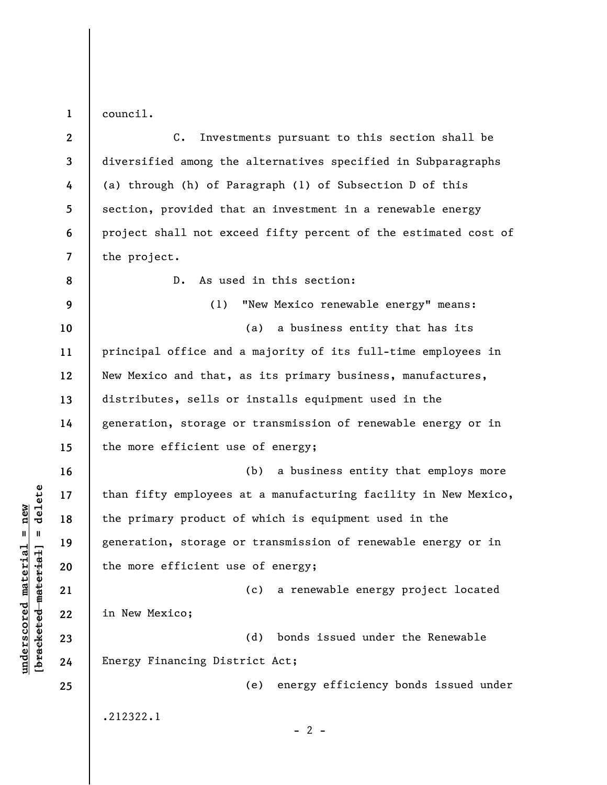**1**  council.

**2 3 4 5 6 7 8 9 10 11 12 13 14 15 16 17 18 19 20 21 22 23 24 25**  C. Investments pursuant to this section shall be diversified among the alternatives specified in Subparagraphs (a) through (h) of Paragraph (1) of Subsection D of this section, provided that an investment in a renewable energy project shall not exceed fifty percent of the estimated cost of the project. D. As used in this section: (1) "New Mexico renewable energy" means: (a) a business entity that has its principal office and a majority of its full-time employees in New Mexico and that, as its primary business, manufactures, distributes, sells or installs equipment used in the generation, storage or transmission of renewable energy or in the more efficient use of energy; (b) a business entity that employs more than fifty employees at a manufacturing facility in New Mexico, the primary product of which is equipment used in the generation, storage or transmission of renewable energy or in the more efficient use of energy; (c) a renewable energy project located in New Mexico; (d) bonds issued under the Renewable Energy Financing District Act; (e) energy efficiency bonds issued under .212322.1  $- 2 -$ 

 $b$ racketed material] = delete **[bracketed material] = delete**  $underscored material = new$ **underscored material = new**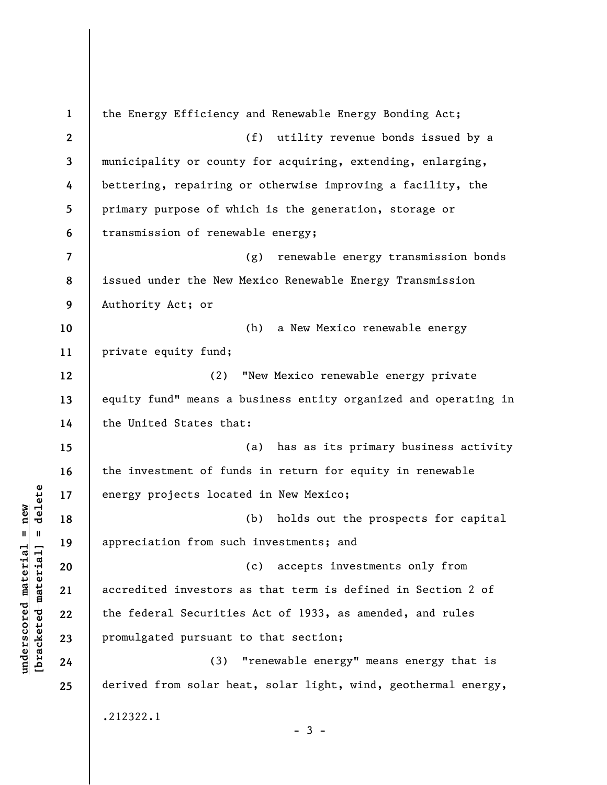**1 2 3 4 5 6 7 8 9 10 11 12 13 14 15 16 17 18 19 20 21 22 23 24 25**  the Energy Efficiency and Renewable Energy Bonding Act; (f) utility revenue bonds issued by a municipality or county for acquiring, extending, enlarging, bettering, repairing or otherwise improving a facility, the primary purpose of which is the generation, storage or transmission of renewable energy; (g) renewable energy transmission bonds issued under the New Mexico Renewable Energy Transmission Authority Act; or (h) a New Mexico renewable energy private equity fund; (2) "New Mexico renewable energy private equity fund" means a business entity organized and operating in the United States that: (a) has as its primary business activity the investment of funds in return for equity in renewable energy projects located in New Mexico; (b) holds out the prospects for capital appreciation from such investments; and (c) accepts investments only from accredited investors as that term is defined in Section 2 of the federal Securities Act of 1933, as amended, and rules promulgated pursuant to that section; (3) "renewable energy" means energy that is derived from solar heat, solar light, wind, geothermal energy, .212322.1  $-3 -$ 

 $\frac{1}{2}$  intereted material = delete **[bracketed material] = delete**  $underscored material = new$ **underscored material = new**